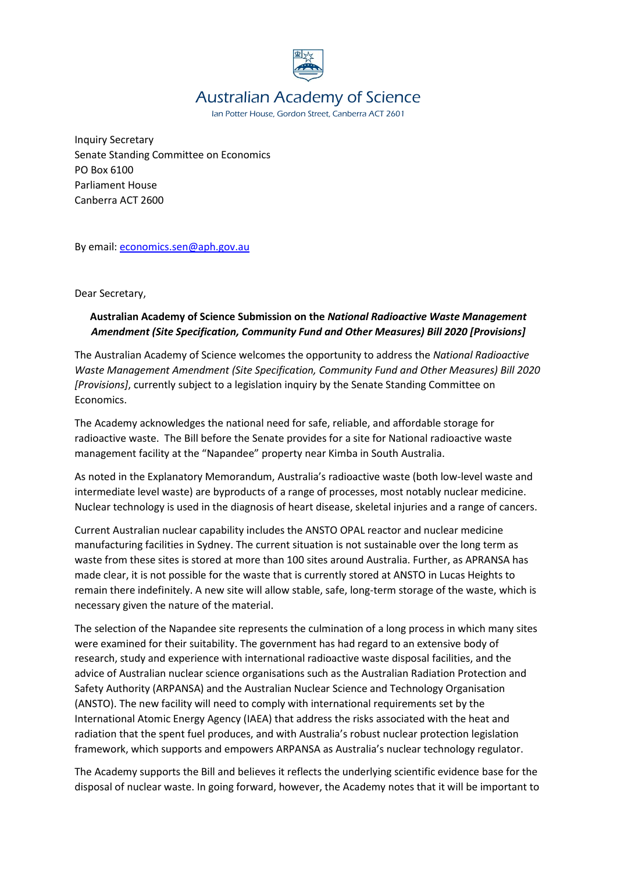

## Australian Academy of Science

Ian Potter House, Gordon Street, Canberra ACT 2601

Inquiry Secretary Senate Standing Committee on Economics PO Box 6100 Parliament House Canberra ACT 2600

By email: [economics.sen@aph.gov.au](mailto:economics.sen@aph.gov.au)

Dear Secretary,

## **Australian Academy of Science Submission on the** *National Radioactive Waste Management Amendment (Site Specification, Community Fund and Other Measures) Bill 2020 [Provisions]*

The Australian Academy of Science welcomes the opportunity to address the *National Radioactive Waste Management Amendment (Site Specification, Community Fund and Other Measures) Bill 2020 [Provisions]*, currently subject to a legislation inquiry by the Senate Standing Committee on Economics.

The Academy acknowledges the national need for safe, reliable, and affordable storage for radioactive waste. The Bill before the Senate provides for a site for National radioactive waste management facility at the "Napandee" property near Kimba in South Australia.

As noted in the Explanatory Memorandum, Australia's radioactive waste (both low-level waste and intermediate level waste) are byproducts of a range of processes, most notably nuclear medicine. Nuclear technology is used in the diagnosis of heart disease, skeletal injuries and a range of cancers.

Current Australian nuclear capability includes the ANSTO OPAL reactor and nuclear medicine manufacturing facilities in Sydney. The current situation is not sustainable over the long term as waste from these sites is stored at more than 100 sites around Australia. Further, as APRANSA has made clear, it is not possible for the waste that is currently stored at ANSTO in Lucas Heights to remain there indefinitely. A new site will allow stable, safe, long-term storage of the waste, which is necessary given the nature of the material.

The selection of the Napandee site represents the culmination of a long process in which many sites were examined for their suitability. The government has had regard to an extensive body of research, study and experience with international radioactive waste disposal facilities, and the advice of Australian nuclear science organisations such as the Australian Radiation Protection and Safety Authority (ARPANSA) and the Australian Nuclear Science and Technology Organisation (ANSTO). The new facility will need to comply with international requirements set by the International Atomic Energy Agency (IAEA) that address the risks associated with the heat and radiation that the spent fuel produces, and with Australia's robust nuclear protection legislation framework, which supports and empowers ARPANSA as Australia's nuclear technology regulator.

The Academy supports the Bill and believes it reflects the underlying scientific evidence base for the disposal of nuclear waste. In going forward, however, the Academy notes that it will be important to